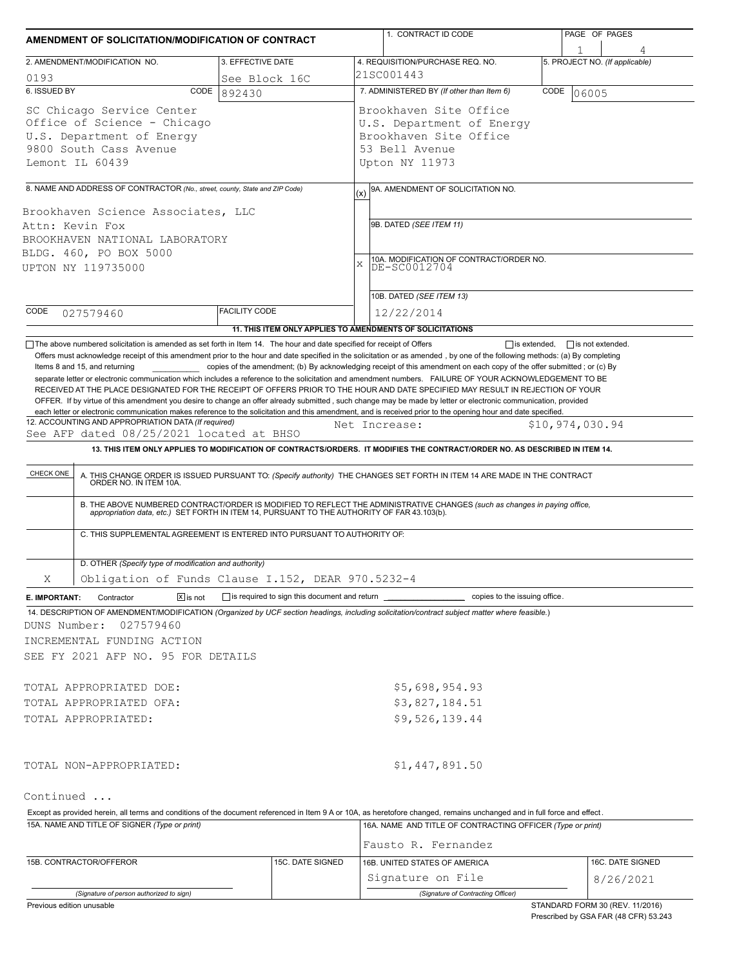| AMENDMENT OF SOLICITATION/MODIFICATION OF CONTRACT                                                                                                                                                                                                                                                                                                                                                                                                                                                                                                                                 |                                                           | 1. CONTRACT ID CODE |                                                                                                                                                                                                                                                                                                  | PAGE OF PAGES |                                |  |  |  |
|------------------------------------------------------------------------------------------------------------------------------------------------------------------------------------------------------------------------------------------------------------------------------------------------------------------------------------------------------------------------------------------------------------------------------------------------------------------------------------------------------------------------------------------------------------------------------------|-----------------------------------------------------------|---------------------|--------------------------------------------------------------------------------------------------------------------------------------------------------------------------------------------------------------------------------------------------------------------------------------------------|---------------|--------------------------------|--|--|--|
| 2. AMENDMENT/MODIFICATION NO.                                                                                                                                                                                                                                                                                                                                                                                                                                                                                                                                                      | 3. EFFECTIVE DATE                                         |                     | 4. REQUISITION/PURCHASE REQ. NO.                                                                                                                                                                                                                                                                 |               | 5. PROJECT NO. (If applicable) |  |  |  |
|                                                                                                                                                                                                                                                                                                                                                                                                                                                                                                                                                                                    |                                                           |                     | 21SC001443                                                                                                                                                                                                                                                                                       |               |                                |  |  |  |
| 0193<br>6. ISSUED BY<br>CODE                                                                                                                                                                                                                                                                                                                                                                                                                                                                                                                                                       | See Block 16C<br>892430                                   |                     | 7. ADMINISTERED BY (If other than Item 6)                                                                                                                                                                                                                                                        | CODE          | 06005                          |  |  |  |
| SC Chicago Service Center<br>Office of Science - Chicago<br>U.S. Department of Energy<br>9800 South Cass Avenue<br>Lemont IL 60439                                                                                                                                                                                                                                                                                                                                                                                                                                                 |                                                           |                     | Brookhaven Site Office<br>U.S. Department of Energy<br>Brookhaven Site Office<br>53 Bell Avenue<br>Upton NY 11973                                                                                                                                                                                |               |                                |  |  |  |
| 8. NAME AND ADDRESS OF CONTRACTOR (No., street, county, State and ZIP Code)                                                                                                                                                                                                                                                                                                                                                                                                                                                                                                        |                                                           |                     | 9A. AMENDMENT OF SOLICITATION NO.                                                                                                                                                                                                                                                                |               |                                |  |  |  |
| Brookhaven Science Associates, LLC<br>Attn: Kevin Fox<br>BROOKHAVEN NATIONAL LABORATORY<br>BLDG. 460, PO BOX 5000<br>UPTON NY 119735000                                                                                                                                                                                                                                                                                                                                                                                                                                            |                                                           | (x)<br>X            | 9B. DATED (SEE ITEM 11)<br>10A. MODIFICATION OF CONTRACT/ORDER NO.<br>DE-SC0012704<br>10B. DATED (SEE ITEM 13)                                                                                                                                                                                   |               |                                |  |  |  |
| CODE<br>027579460                                                                                                                                                                                                                                                                                                                                                                                                                                                                                                                                                                  | <b>FACILITY CODE</b>                                      |                     | 12/22/2014                                                                                                                                                                                                                                                                                       |               |                                |  |  |  |
|                                                                                                                                                                                                                                                                                                                                                                                                                                                                                                                                                                                    | 11. THIS ITEM ONLY APPLIES TO AMENDMENTS OF SOLICITATIONS |                     |                                                                                                                                                                                                                                                                                                  |               |                                |  |  |  |
| RECEIVED AT THE PLACE DESIGNATED FOR THE RECEIPT OF OFFERS PRIOR TO THE HOUR AND DATE SPECIFIED MAY RESULT IN REJECTION OF YOUR<br>OFFER. If by virtue of this amendment you desire to change an offer already submitted, such change may be made by letter or electronic communication, provided<br>each letter or electronic communication makes reference to the solicitation and this amendment, and is received prior to the opening hour and date specified.<br>12. ACCOUNTING AND APPROPRIATION DATA (If required)<br>See AFP dated 08/25/2021 located at BHSO<br>CHECK ONE |                                                           |                     | Net Increase:<br>13. THIS ITEM ONLY APPLIES TO MODIFICATION OF CONTRACTS/ORDERS. IT MODIFIES THE CONTRACT/ORDER NO. AS DESCRIBED IN ITEM 14.<br>A. THIS CHANGE ORDER IS ISSUED PURSUANT TO: (Specify authority) THE CHANGES SET FORTH IN ITEM 14 ARE MADE IN THE CONTRACT ORDER NO. IN ITEM 10A. |               | \$10,974,030.94                |  |  |  |
| C. THIS SUPPLEMENTAL AGREEMENT IS ENTERED INTO PURSUANT TO AUTHORITY OF:                                                                                                                                                                                                                                                                                                                                                                                                                                                                                                           |                                                           |                     | B. THE ABOVE NUMBERED CONTRACT/ORDER IS MODIFIED TO REFLECT THE ADMINISTRATIVE CHANGES (such as changes in paying office,<br>appropriation data, etc.) SET FORTH IN ITEM 14, PURSUANT TO THE AUTHORITY OF FAR 43.103(b).                                                                         |               |                                |  |  |  |
| D. OTHER (Specify type of modification and authority)                                                                                                                                                                                                                                                                                                                                                                                                                                                                                                                              |                                                           |                     |                                                                                                                                                                                                                                                                                                  |               |                                |  |  |  |
| Obligation of Funds Clause I.152, DEAR 970.5232-4<br>Χ                                                                                                                                                                                                                                                                                                                                                                                                                                                                                                                             |                                                           |                     |                                                                                                                                                                                                                                                                                                  |               |                                |  |  |  |
| $\boxtimes$ is not<br>E. IMPORTANT:<br>Contractor<br>14. DESCRIPTION OF AMENDMENT/MODIFICATION (Organized by UCF section headings, including solicitation/contract subject matter where feasible.)<br>DUNS Number:<br>027579460<br>INCREMENTAL FUNDING ACTION<br>SEE FY 2021 AFP NO. 95 FOR DETAILS                                                                                                                                                                                                                                                                                |                                                           |                     | copies to the issuing office.                                                                                                                                                                                                                                                                    |               |                                |  |  |  |
| TOTAL APPROPRIATED DOE:                                                                                                                                                                                                                                                                                                                                                                                                                                                                                                                                                            |                                                           |                     | \$5,698,954.93                                                                                                                                                                                                                                                                                   |               |                                |  |  |  |
| TOTAL APPROPRIATED OFA:                                                                                                                                                                                                                                                                                                                                                                                                                                                                                                                                                            |                                                           |                     | \$3,827,184.51                                                                                                                                                                                                                                                                                   |               |                                |  |  |  |
| TOTAL APPROPRIATED:                                                                                                                                                                                                                                                                                                                                                                                                                                                                                                                                                                |                                                           |                     | \$9,526,139.44                                                                                                                                                                                                                                                                                   |               |                                |  |  |  |
| TOTAL NON-APPROPRIATED:                                                                                                                                                                                                                                                                                                                                                                                                                                                                                                                                                            |                                                           |                     | \$1,447,891.50                                                                                                                                                                                                                                                                                   |               |                                |  |  |  |
| Continued                                                                                                                                                                                                                                                                                                                                                                                                                                                                                                                                                                          |                                                           |                     |                                                                                                                                                                                                                                                                                                  |               |                                |  |  |  |
| Except as provided herein, all terms and conditions of the document referenced in Item 9 A or 10A, as heretofore changed, remains unchanged and in full force and effect.                                                                                                                                                                                                                                                                                                                                                                                                          |                                                           |                     |                                                                                                                                                                                                                                                                                                  |               |                                |  |  |  |
| 15A. NAME AND TITLE OF SIGNER (Type or print)                                                                                                                                                                                                                                                                                                                                                                                                                                                                                                                                      |                                                           |                     | 16A. NAME AND TITLE OF CONTRACTING OFFICER (Type or print)<br>Fausto R. Fernandez                                                                                                                                                                                                                |               |                                |  |  |  |
|                                                                                                                                                                                                                                                                                                                                                                                                                                                                                                                                                                                    |                                                           |                     | 16B. UNITED STATES OF AMERICA                                                                                                                                                                                                                                                                    |               |                                |  |  |  |
| 15B. CONTRACTOR/OFFEROR                                                                                                                                                                                                                                                                                                                                                                                                                                                                                                                                                            | 15C. DATE SIGNED                                          |                     | Signature on File                                                                                                                                                                                                                                                                                |               | 16C. DATE SIGNED<br>8/26/2021  |  |  |  |

*(Signature of person authorized to sign) (Signature of Contracting Officer)*

Previous edition unusable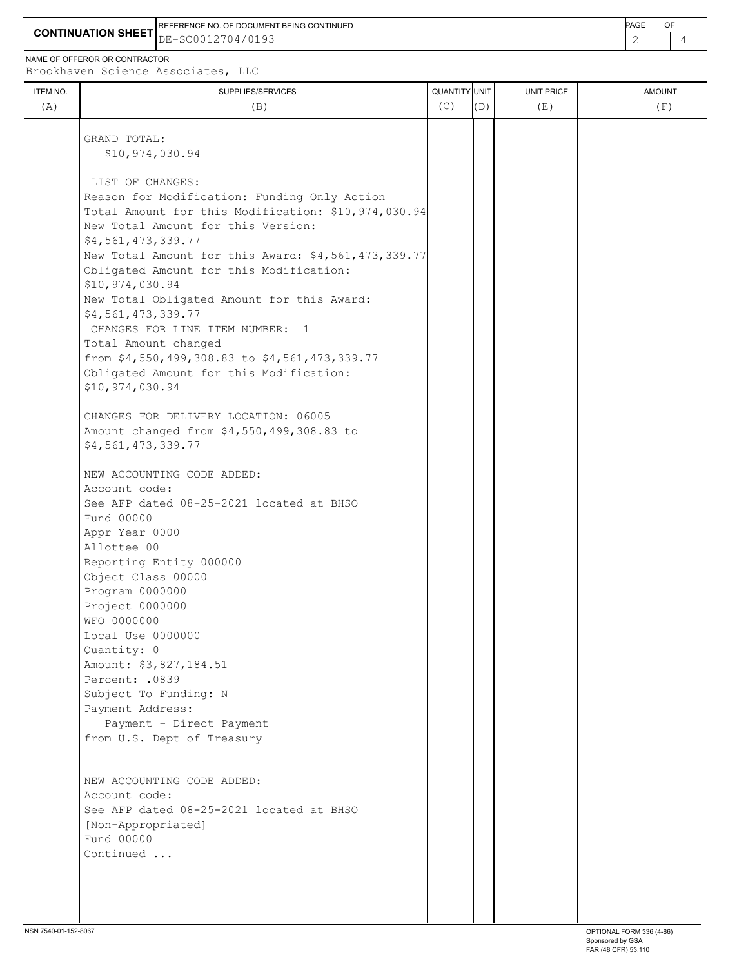**CONTINUATION SHEET** DE-SC0012704/0193 REFERENCE NO. OF DOCUMENT BEING CONTINUED **Example 2008** PAGE OF

NAME OF OFFEROR OR CONTRACTOR

Brookhaven Science Associates, LLC

| ITEM NO.<br>(A) | SUPPLIES/SERVICES<br>(B)                                   | QUANTITY UNIT<br>(C) | (D) | UNIT PRICE<br>(E) | <b>AMOUNT</b><br>(F) |
|-----------------|------------------------------------------------------------|----------------------|-----|-------------------|----------------------|
|                 | GRAND TOTAL:                                               |                      |     |                   |                      |
|                 | \$10,974,030.94                                            |                      |     |                   |                      |
|                 | LIST OF CHANGES:                                           |                      |     |                   |                      |
|                 | Reason for Modification: Funding Only Action               |                      |     |                   |                      |
|                 | Total Amount for this Modification: \$10,974,030.94        |                      |     |                   |                      |
|                 | New Total Amount for this Version:                         |                      |     |                   |                      |
|                 | \$4,561,473,339.77                                         |                      |     |                   |                      |
|                 | New Total Amount for this Award: \$4,561,473,339.77        |                      |     |                   |                      |
|                 | Obligated Amount for this Modification:<br>\$10,974,030.94 |                      |     |                   |                      |
|                 | New Total Obligated Amount for this Award:                 |                      |     |                   |                      |
|                 | \$4,561,473,339.77                                         |                      |     |                   |                      |
|                 | CHANGES FOR LINE ITEM NUMBER: 1<br>Total Amount changed    |                      |     |                   |                      |
|                 | from \$4,550,499,308.83 to \$4,561,473,339.77              |                      |     |                   |                      |
|                 | Obligated Amount for this Modification:                    |                      |     |                   |                      |
|                 | \$10,974,030.94                                            |                      |     |                   |                      |
|                 |                                                            |                      |     |                   |                      |
|                 | CHANGES FOR DELIVERY LOCATION: 06005                       |                      |     |                   |                      |
|                 | Amount changed from \$4,550,499,308.83 to                  |                      |     |                   |                      |
|                 | \$4,561,473,339.77                                         |                      |     |                   |                      |
|                 | NEW ACCOUNTING CODE ADDED:                                 |                      |     |                   |                      |
|                 | Account code:                                              |                      |     |                   |                      |
|                 | See AFP dated 08-25-2021 located at BHSO                   |                      |     |                   |                      |
|                 | Fund 00000                                                 |                      |     |                   |                      |
|                 | Appr Year 0000                                             |                      |     |                   |                      |
|                 | Allottee 00                                                |                      |     |                   |                      |
|                 | Reporting Entity 000000                                    |                      |     |                   |                      |
|                 | Object Class 00000<br>Program 0000000                      |                      |     |                   |                      |
|                 | Project 0000000                                            |                      |     |                   |                      |
|                 | WFO 0000000                                                |                      |     |                   |                      |
|                 | Local Use 0000000                                          |                      |     |                   |                      |
|                 | Quantity: 0                                                |                      |     |                   |                      |
|                 | Amount: \$3,827,184.51                                     |                      |     |                   |                      |
|                 | Percent: .0839                                             |                      |     |                   |                      |
|                 | Subject To Funding: N                                      |                      |     |                   |                      |
|                 | Payment Address:                                           |                      |     |                   |                      |
|                 | Payment - Direct Payment<br>from U.S. Dept of Treasury     |                      |     |                   |                      |
|                 |                                                            |                      |     |                   |                      |
|                 |                                                            |                      |     |                   |                      |
|                 | NEW ACCOUNTING CODE ADDED:<br>Account code:                |                      |     |                   |                      |
|                 | See AFP dated 08-25-2021 located at BHSO                   |                      |     |                   |                      |
|                 | [Non-Appropriated]                                         |                      |     |                   |                      |
|                 | Fund 00000                                                 |                      |     |                   |                      |
|                 | Continued                                                  |                      |     |                   |                      |
|                 |                                                            |                      |     |                   |                      |
|                 |                                                            |                      |     |                   |                      |
|                 |                                                            |                      |     |                   |                      |
|                 |                                                            |                      |     |                   |                      |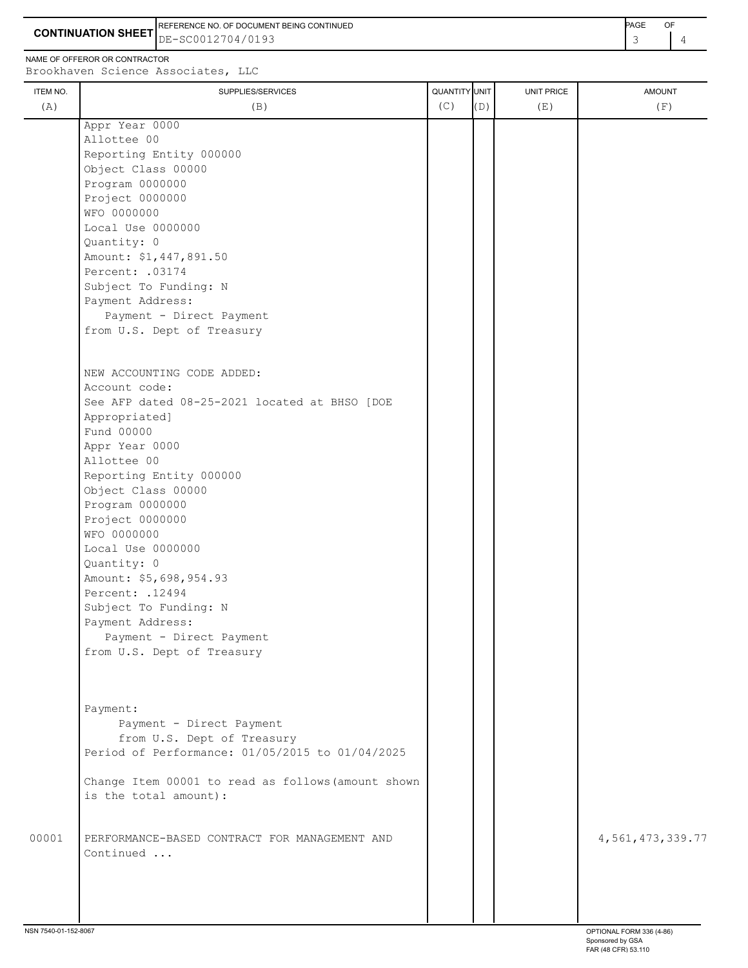**CONTINUATION SHEET** DE-SC0012704/0193 REFERENCE NO. OF DOCUMENT BEING CONTINUED **A CONTINUED PAGE OF PAGE OF PAGE OF PAGE** 

ITEM NO. ┃ SUPPLIES/SERVICES UNIT PRICE AMOUNT NAME OF OFFEROR OR CONTRACTOR Brookhaven Science Associates, LLC (A)  $(B)$  (B)  $(C)$   $(D)$  (E)  $(E)$  (F) Appr Year 0000 Allottee 00 Reporting Entity 000000 Object Class 00000 Program 0000000 Project 0000000 WFO 0000000 Local Use 0000000 Quantity: 0 Amount: \$1,447,891.50 Percent: .03174 Subject To Funding: N Payment Address: Payment - Direct Payment from U.S. Dept of Treasury NEW ACCOUNTING CODE ADDED: Account code: See AFP dated 08-25-2021 located at BHSO [DOE Appropriated] Fund 00000 Appr Year 0000 Allottee 00 Reporting Entity 000000 Object Class 00000 Program 0000000 Project 0000000 WFO 0000000 Local Use 0000000 Quantity: 0 Amount: \$5,698,954.93 Percent: .12494 Subject To Funding: N Payment Address: Payment - Direct Payment

from U.S. Dept of Treasury

 Payment: Payment - Direct Payment from U.S. Dept of Treasury Period of Performance: 01/05/2015 to 01/04/2025

 Change Item 00001 to read as follows(amount shown is the total amount):

00001 PERFORMANCE-BASED CONTRACT FOR MANAGEMENT AND  $\vert$  | | 4,561,473,339.77 Continued ...